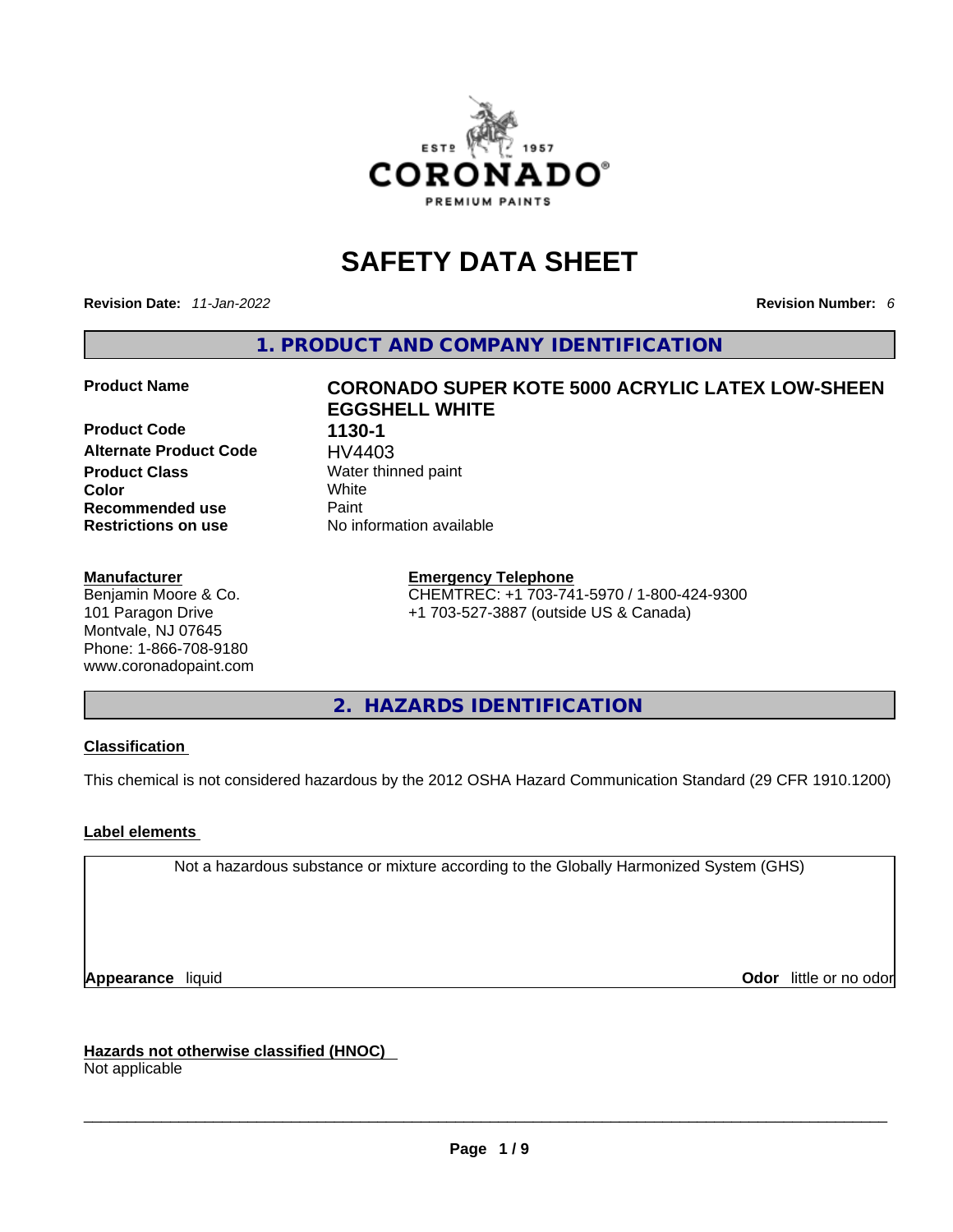

## **SAFETY DATA SHEET**

**Revision Date:** *11-Jan-2022* **Revision Number:** *6*

**1. PRODUCT AND COMPANY IDENTIFICATION** 

**Product Code 1130-1 Alternate Product Code HV4403**<br>**Product Class** Water thin **Color** White **Recommended use** Paint **Restrictions on use** No information available

#### **Manufacturer**

Benjamin Moore & Co. 101 Paragon Drive Montvale, NJ 07645 Phone: 1-866-708-9180 www.coronadopaint.com

## **Product Name CORONADO SUPER KOTE 5000 ACRYLIC LATEX LOW-SHEEN EGGSHELL WHITE**

**Water thinned paint** 

#### **Emergency Telephone**

CHEMTREC: +1 703-741-5970 / 1-800-424-9300 +1 703-527-3887 (outside US & Canada)

**2. HAZARDS IDENTIFICATION** 

#### **Classification**

This chemical is not considered hazardous by the 2012 OSHA Hazard Communication Standard (29 CFR 1910.1200)

#### **Label elements**

Not a hazardous substance or mixture according to the Globally Harmonized System (GHS)

**Appearance** liquid **Odor 11** and **Odor 11** and **Odor 11** and **Odor 11** and **Odor 11** and **Odor** 11 and **Odor** 11 and **Odor** 11 and **Odor** 11 and **Odor** 11 and **Odor** 11 and **Odor** 11 and **Odor** 11 and **Odor** 11 and **Odor** 

**Hazards not otherwise classified (HNOC)**  Not applicable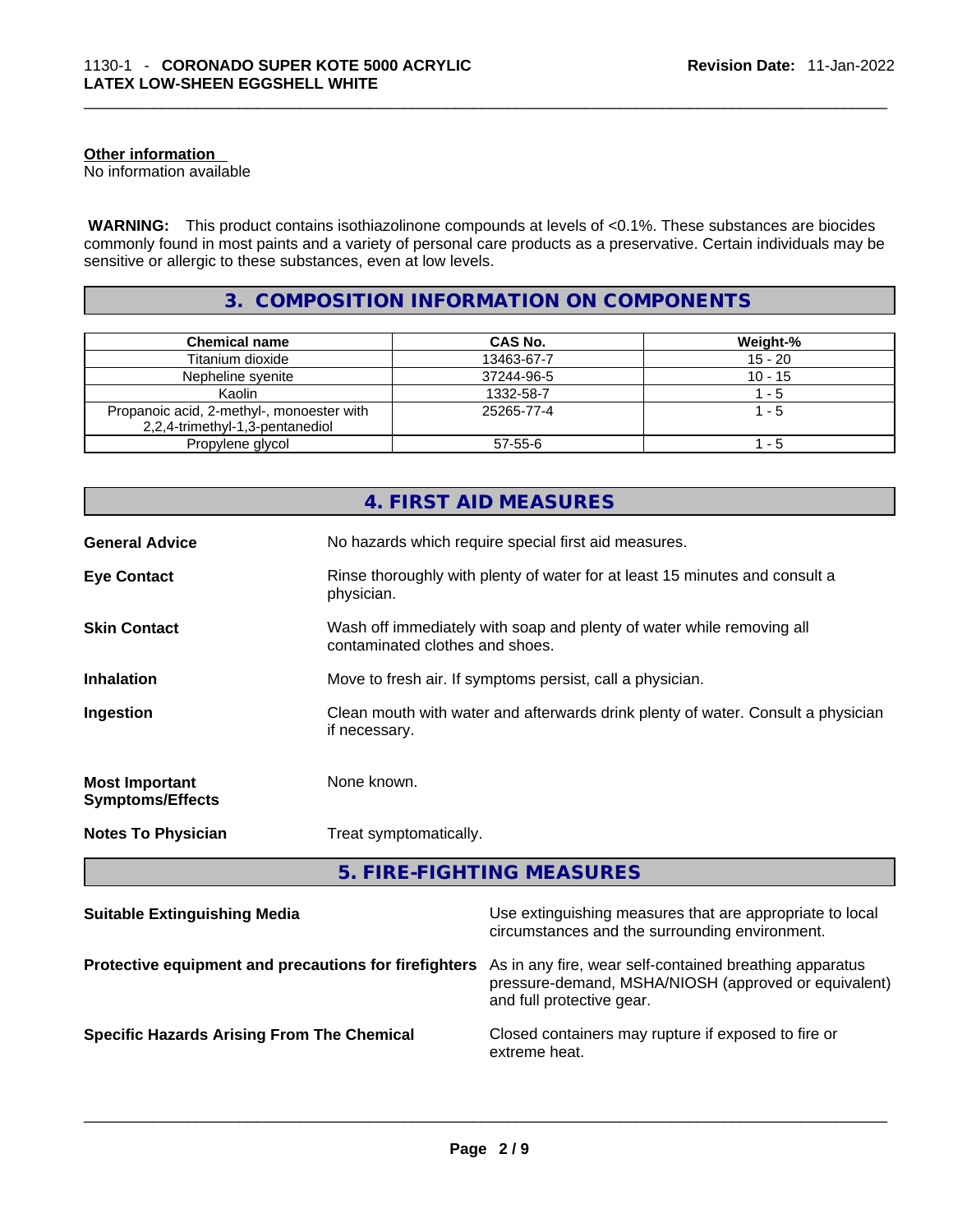#### **Other information**

No information available

 **WARNING:** This product contains isothiazolinone compounds at levels of <0.1%. These substances are biocides commonly found in most paints and a variety of personal care products as a preservative. Certain individuals may be sensitive or allergic to these substances, even at low levels.

### **3. COMPOSITION INFORMATION ON COMPONENTS**

| <b>Chemical name</b>                                                         | CAS No.    | Weight-%  |
|------------------------------------------------------------------------------|------------|-----------|
| Titanium dioxide                                                             | 13463-67-7 | $15 - 20$ |
| Nepheline syenite                                                            | 37244-96-5 | $10 - 15$ |
| Kaolin                                                                       | 1332-58-7  | 1 - 5     |
| Propanoic acid, 2-methyl-, monoester with<br>2,2,4-trimethyl-1,3-pentanediol | 25265-77-4 | $1 - 5$   |
| Propylene glycol                                                             | 57-55-6    | - 5       |

| No hazards which require special first aid measures.<br><b>General Advice</b><br><b>Eye Contact</b><br>Rinse thoroughly with plenty of water for at least 15 minutes and consult a<br>physician.<br><b>Skin Contact</b><br>Wash off immediately with soap and plenty of water while removing all<br>contaminated clothes and shoes. |
|-------------------------------------------------------------------------------------------------------------------------------------------------------------------------------------------------------------------------------------------------------------------------------------------------------------------------------------|
|                                                                                                                                                                                                                                                                                                                                     |
|                                                                                                                                                                                                                                                                                                                                     |
|                                                                                                                                                                                                                                                                                                                                     |
| Move to fresh air. If symptoms persist, call a physician.<br><b>Inhalation</b>                                                                                                                                                                                                                                                      |
| Clean mouth with water and afterwards drink plenty of water. Consult a physician<br>Ingestion<br>if necessary.                                                                                                                                                                                                                      |
| None known.<br><b>Most Important</b><br><b>Symptoms/Effects</b>                                                                                                                                                                                                                                                                     |
| <b>Notes To Physician</b><br>Treat symptomatically.                                                                                                                                                                                                                                                                                 |

| <b>Suitable Extinguishing Media</b>                   | Use extinguishing measures that are appropriate to local<br>circumstances and the surrounding environment.                                   |
|-------------------------------------------------------|----------------------------------------------------------------------------------------------------------------------------------------------|
| Protective equipment and precautions for firefighters | As in any fire, wear self-contained breathing apparatus<br>pressure-demand, MSHA/NIOSH (approved or equivalent)<br>and full protective gear. |
| <b>Specific Hazards Arising From The Chemical</b>     | Closed containers may rupture if exposed to fire or<br>extreme heat.                                                                         |
|                                                       |                                                                                                                                              |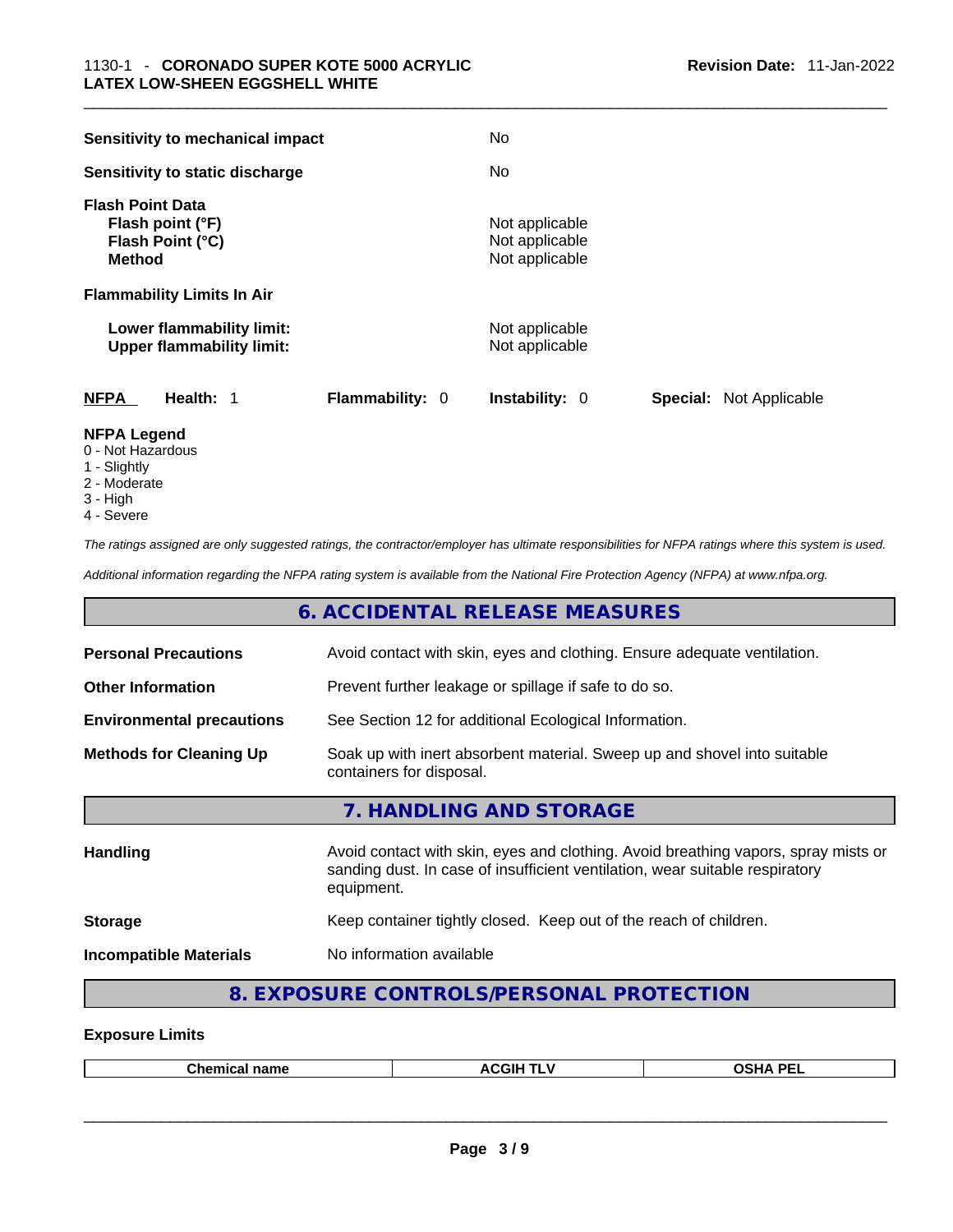| Sensitivity to mechanical impact                                                 |                        | No.                                                |                                |
|----------------------------------------------------------------------------------|------------------------|----------------------------------------------------|--------------------------------|
| Sensitivity to static discharge                                                  |                        | No.                                                |                                |
| <b>Flash Point Data</b><br>Flash point (°F)<br>Flash Point (°C)<br><b>Method</b> |                        | Not applicable<br>Not applicable<br>Not applicable |                                |
| <b>Flammability Limits In Air</b>                                                |                        |                                                    |                                |
| Lower flammability limit:<br><b>Upper flammability limit:</b>                    |                        | Not applicable<br>Not applicable                   |                                |
| <b>NFPA</b><br>Health: 1                                                         | <b>Flammability: 0</b> | <b>Instability: 0</b>                              | <b>Special:</b> Not Applicable |
| $\blacksquare$                                                                   |                        |                                                    |                                |

#### **NFPA Legend**

- 0 Not Hazardous
- 1 Slightly 2 - Moderate
- 3 High
- 4 Severe

*The ratings assigned are only suggested ratings, the contractor/employer has ultimate responsibilities for NFPA ratings where this system is used.* 

*Additional information regarding the NFPA rating system is available from the National Fire Protection Agency (NFPA) at www.nfpa.org.* 

#### **6. ACCIDENTAL RELEASE MEASURES**

| <b>Personal Precautions</b>      | Avoid contact with skin, eyes and clothing. Ensure adequate ventilation.                                                                                                         |
|----------------------------------|----------------------------------------------------------------------------------------------------------------------------------------------------------------------------------|
| <b>Other Information</b>         | Prevent further leakage or spillage if safe to do so.                                                                                                                            |
| <b>Environmental precautions</b> | See Section 12 for additional Ecological Information.                                                                                                                            |
| <b>Methods for Cleaning Up</b>   | Soak up with inert absorbent material. Sweep up and shovel into suitable<br>containers for disposal.                                                                             |
|                                  | 7. HANDLING AND STORAGE                                                                                                                                                          |
| Handling                         | Avoid contact with skin, eyes and clothing. Avoid breathing vapors, spray mists or<br>sanding dust. In case of insufficient ventilation, wear suitable respiratory<br>equipment. |
| <b>Storage</b>                   | Keep container tightly closed. Keep out of the reach of children.                                                                                                                |
| <b>Incompatible Materials</b>    | No information available                                                                                                                                                         |
|                                  |                                                                                                                                                                                  |

## **8. EXPOSURE CONTROLS/PERSONAL PROTECTION**

#### **Exposure Limits**

| Chamical <b>L</b><br>name<br>этнсаг | <b>ACGIH</b><br><b>STATISTICS</b><br>1 L V | OCUA DEL<br>℡ |
|-------------------------------------|--------------------------------------------|---------------|
|                                     |                                            |               |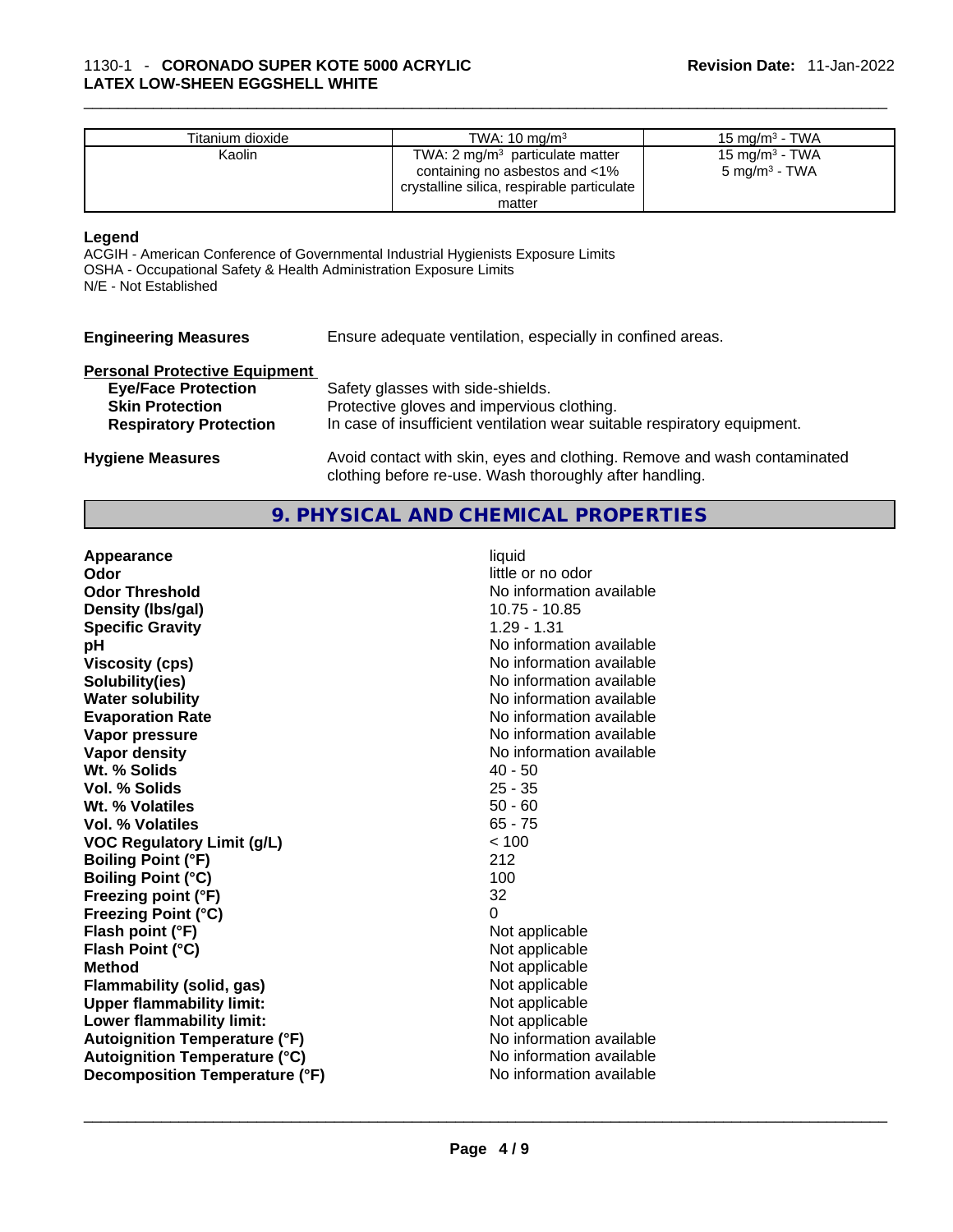| Titanium dioxide | TWA: $10 \text{ ma/m}^3$                   | 15 mg/m $3$ - TWA |
|------------------|--------------------------------------------|-------------------|
| Kaolin           | TWA: $2 \text{ mq/m}^3$ particulate matter | 15 mg/m $3$ - TWA |
|                  | containing no asbestos and $<$ 1%          | 5 mg/m $^3$ - TWA |
|                  | crystalline silica, respirable particulate |                   |
|                  | matter                                     |                   |

#### **Legend**

ACGIH - American Conference of Governmental Industrial Hygienists Exposure Limits OSHA - Occupational Safety & Health Administration Exposure Limits N/E - Not Established

| <b>Engineering Measures</b> | Ensure a |
|-----------------------------|----------|
|-----------------------------|----------|

dequate ventilation, especially in confined areas.

## **Personal Protective Equipment**

| Personal Protective Equipment |                                                                                                                                     |
|-------------------------------|-------------------------------------------------------------------------------------------------------------------------------------|
| <b>Eye/Face Protection</b>    | Safety glasses with side-shields.                                                                                                   |
| <b>Skin Protection</b>        | Protective gloves and impervious clothing.                                                                                          |
| <b>Respiratory Protection</b> | In case of insufficient ventilation wear suitable respiratory equipment.                                                            |
| <b>Hygiene Measures</b>       | Avoid contact with skin, eyes and clothing. Remove and wash contaminated<br>clothing before re-use. Wash thoroughly after handling. |

#### **9. PHYSICAL AND CHEMICAL PROPERTIES**

| Appearance                           | liquid                   |  |
|--------------------------------------|--------------------------|--|
| Odor                                 | little or no odor        |  |
| <b>Odor Threshold</b>                | No information available |  |
| Density (Ibs/gal)                    | $10.75 - 10.85$          |  |
| <b>Specific Gravity</b>              | $1.29 - 1.31$            |  |
| pH                                   | No information available |  |
| <b>Viscosity (cps)</b>               | No information available |  |
| Solubility(ies)                      | No information available |  |
| <b>Water solubility</b>              | No information available |  |
| <b>Evaporation Rate</b>              | No information available |  |
| Vapor pressure                       | No information available |  |
| Vapor density                        | No information available |  |
| Wt. % Solids                         | $40 - 50$                |  |
| Vol. % Solids                        | $25 - 35$                |  |
| Wt. % Volatiles                      | $50 - 60$                |  |
| <b>Vol. % Volatiles</b>              | $65 - 75$                |  |
| <b>VOC Regulatory Limit (g/L)</b>    | < 100                    |  |
| <b>Boiling Point (°F)</b>            | 212                      |  |
| <b>Boiling Point (°C)</b>            | 100                      |  |
| Freezing point (°F)                  | 32                       |  |
| <b>Freezing Point (°C)</b>           | $\Omega$                 |  |
| Flash point (°F)                     | Not applicable           |  |
| Flash Point (°C)                     | Not applicable           |  |
| <b>Method</b>                        | Not applicable           |  |
| <b>Flammability (solid, gas)</b>     | Not applicable           |  |
| <b>Upper flammability limit:</b>     | Not applicable           |  |
| Lower flammability limit:            | Not applicable           |  |
| <b>Autoignition Temperature (°F)</b> | No information available |  |
| <b>Autoignition Temperature (°C)</b> | No information available |  |
| Decomposition Temperature (°F)       | No information available |  |
|                                      |                          |  |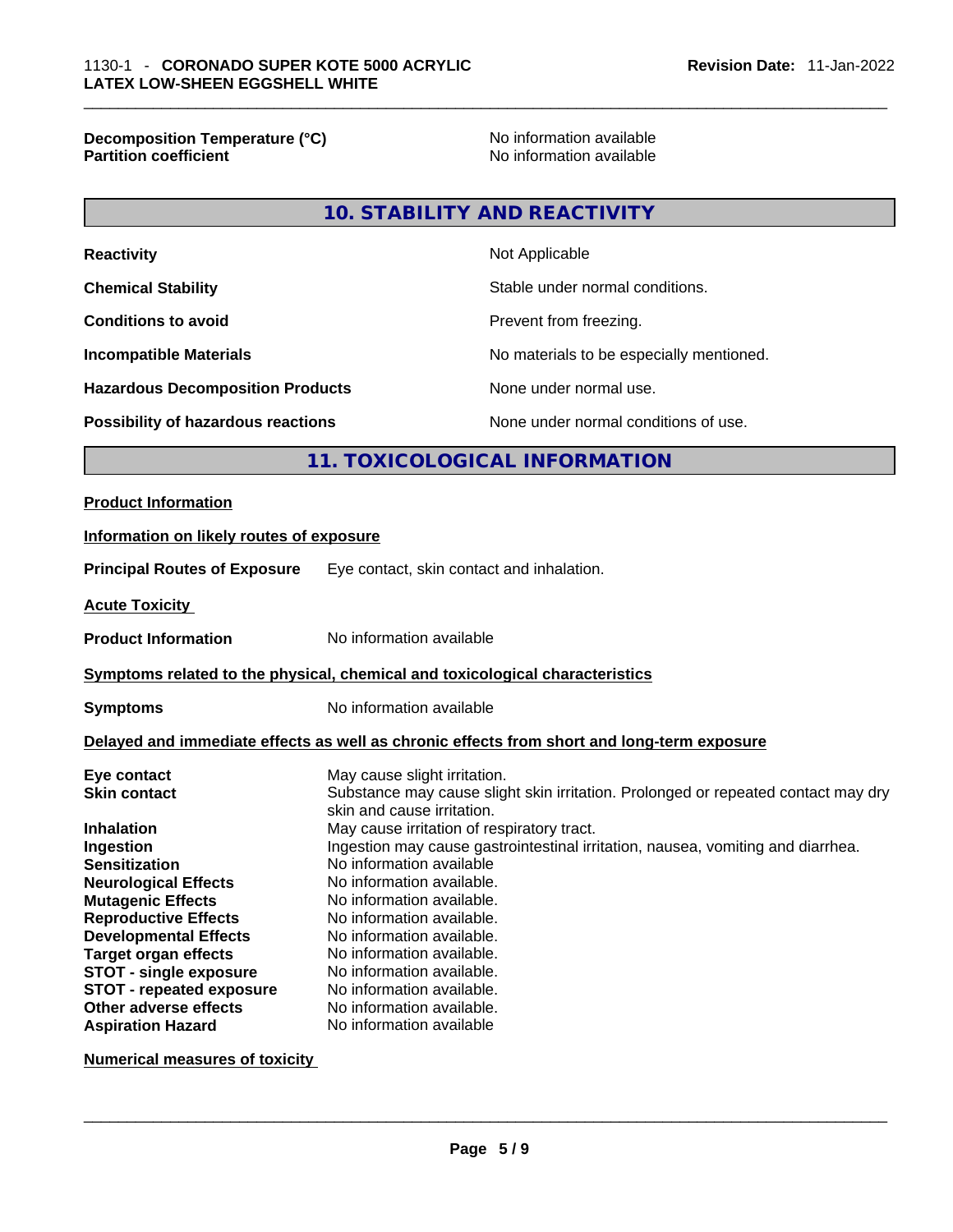**Decomposition Temperature (°C)** No information available **Partition coefficient** 

### **10. STABILITY AND REACTIVITY**

| <b>Reactivity</b>                       | Not Applicable                           |
|-----------------------------------------|------------------------------------------|
| <b>Chemical Stability</b>               | Stable under normal conditions.          |
| <b>Conditions to avoid</b>              | Prevent from freezing.                   |
| <b>Incompatible Materials</b>           | No materials to be especially mentioned. |
| <b>Hazardous Decomposition Products</b> | None under normal use.                   |
| Possibility of hazardous reactions      | None under normal conditions of use.     |

#### **11. TOXICOLOGICAL INFORMATION**

#### **Product Information**

## **Information on likely routes of exposure Principal Routes of Exposure** Eye contact, skin contact and inhalation. **Acute Toxicity Product Information** No information available **<u>Symptoms related to the physical, chemical and toxicological characteristics</u> Symptoms** No information available **Delayed and immediate effects as well as chronic effects from short and long-term exposure**

| Eye contact                     | May cause slight irritation.                                                                                    |
|---------------------------------|-----------------------------------------------------------------------------------------------------------------|
| <b>Skin contact</b>             | Substance may cause slight skin irritation. Prolonged or repeated contact may dry<br>skin and cause irritation. |
|                                 |                                                                                                                 |
| <b>Inhalation</b>               | May cause irritation of respiratory tract.                                                                      |
| Ingestion                       | Ingestion may cause gastrointestinal irritation, nausea, vomiting and diarrhea.                                 |
| <b>Sensitization</b>            | No information available                                                                                        |
| <b>Neurological Effects</b>     | No information available.                                                                                       |
| <b>Mutagenic Effects</b>        | No information available.                                                                                       |
| <b>Reproductive Effects</b>     | No information available.                                                                                       |
| <b>Developmental Effects</b>    | No information available.                                                                                       |
| <b>Target organ effects</b>     | No information available.                                                                                       |
| <b>STOT - single exposure</b>   | No information available.                                                                                       |
| <b>STOT - repeated exposure</b> | No information available.                                                                                       |
| Other adverse effects           | No information available.                                                                                       |
| <b>Aspiration Hazard</b>        | No information available                                                                                        |

**Numerical measures of toxicity**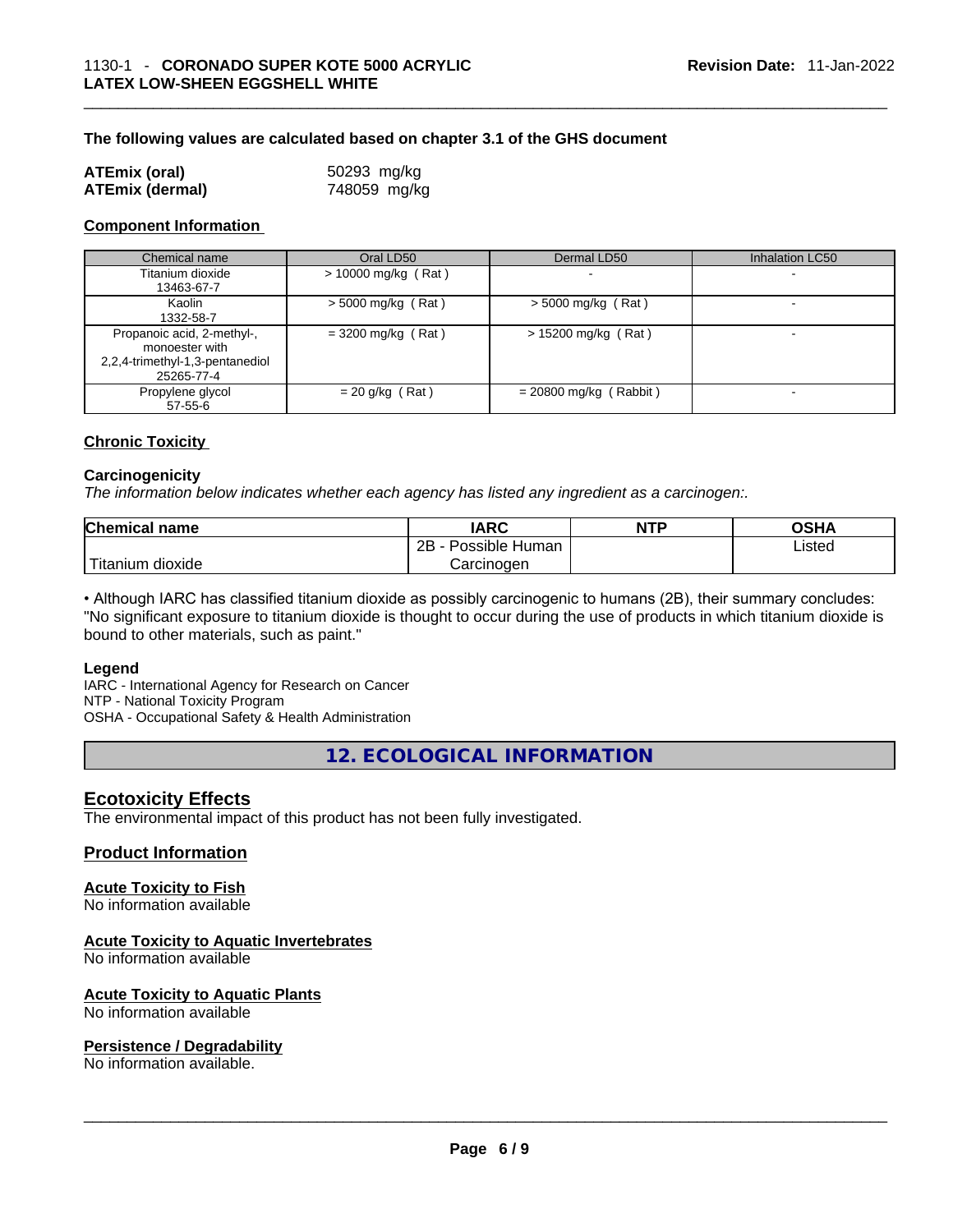#### **The following values are calculated based on chapter 3.1 of the GHS document**

| <b>ATEmix (oral)</b>   | 50293 mg/kg  |
|------------------------|--------------|
| <b>ATEmix (dermal)</b> | 748059 mg/kg |

#### **Component Information**

| Chemical name                                                                                 | Oral LD50             | Dermal LD50              | <b>Inhalation LC50</b>   |
|-----------------------------------------------------------------------------------------------|-----------------------|--------------------------|--------------------------|
| Titanium dioxide<br>13463-67-7                                                                | $> 10000$ mg/kg (Rat) |                          | $\overline{\phantom{a}}$ |
| Kaolin<br>1332-58-7                                                                           | $>$ 5000 mg/kg (Rat)  | $>$ 5000 mg/kg (Rat)     |                          |
| Propanoic acid, 2-methyl-,<br>monoester with<br>2,2,4-trimethyl-1,3-pentanediol<br>25265-77-4 | $=$ 3200 mg/kg (Rat)  | $> 15200$ mg/kg (Rat)    |                          |
| Propylene glycol<br>$57 - 55 - 6$                                                             | $= 20$ g/kg (Rat)     | $= 20800$ mg/kg (Rabbit) | $\overline{\phantom{0}}$ |

#### **Chronic Toxicity**

#### **Carcinogenicity**

*The information below indicates whether each agency has listed any ingredient as a carcinogen:.* 

| <b>Chemical name</b> | IARC                 | <b>NTP</b> | OSHA   |
|----------------------|----------------------|------------|--------|
|                      | Possible Human<br>2Β |            | ∟isted |
| Titanium<br>dioxide  | Carcinoɑen           |            |        |

• Although IARC has classified titanium dioxide as possibly carcinogenic to humans (2B), their summary concludes: "No significant exposure to titanium dioxide is thought to occur during the use of products in which titanium dioxide is bound to other materials, such as paint."

#### **Legend**

IARC - International Agency for Research on Cancer NTP - National Toxicity Program OSHA - Occupational Safety & Health Administration

**12. ECOLOGICAL INFORMATION** 

#### **Ecotoxicity Effects**

The environmental impact of this product has not been fully investigated.

#### **Product Information**

#### **Acute Toxicity to Fish**

No information available

#### **Acute Toxicity to Aquatic Invertebrates**

No information available

## **Acute Toxicity to Aquatic Plants**

# No information available \_\_\_\_\_\_\_\_\_\_\_\_\_\_\_\_\_\_\_\_\_\_\_\_\_\_\_\_\_\_\_\_\_\_\_\_\_\_\_\_\_\_\_\_\_\_\_\_\_\_\_\_\_\_\_\_\_\_\_\_\_\_\_\_\_\_\_\_\_\_\_\_\_\_\_\_\_\_\_\_\_\_\_\_\_\_\_\_\_\_\_\_\_ **Persistence / Degradability**

No information available.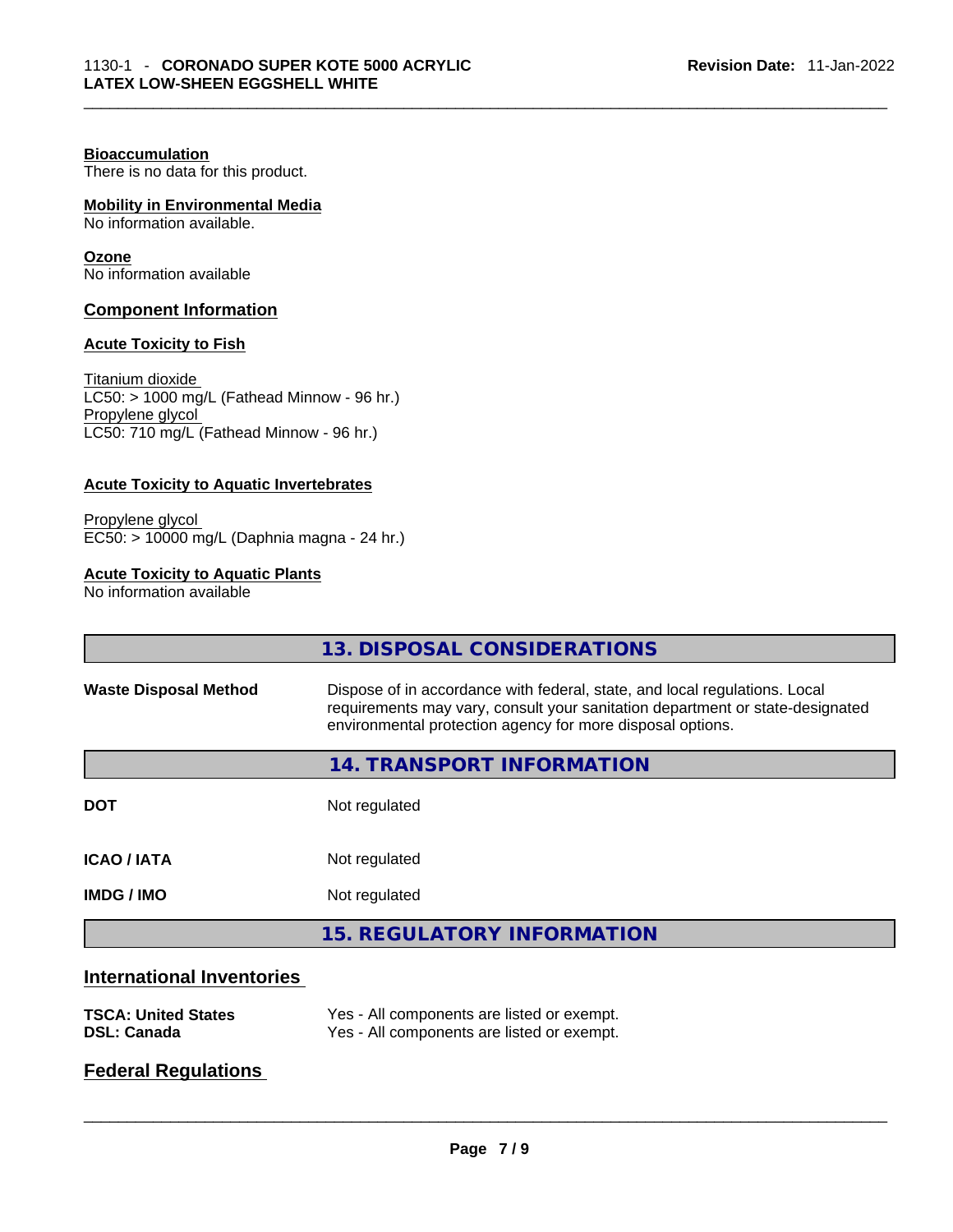#### **Bioaccumulation**

There is no data for this product.

#### **Mobility in Environmental Media**

No information available.

#### **Ozone**

No information available

#### **Component Information**

#### **Acute Toxicity to Fish**

Titanium dioxide  $\overline{\text{LC50:}}$  > 1000 mg/L (Fathead Minnow - 96 hr.) Propylene glycol LC50: 710 mg/L (Fathead Minnow - 96 hr.)

#### **Acute Toxicity to Aquatic Invertebrates**

Propylene glycol EC50: > 10000 mg/L (Daphnia magna - 24 hr.)

#### **Acute Toxicity to Aquatic Plants**

No information available

|                                  | 13. DISPOSAL CONSIDERATIONS                                                                                                                                                                                               |
|----------------------------------|---------------------------------------------------------------------------------------------------------------------------------------------------------------------------------------------------------------------------|
| <b>Waste Disposal Method</b>     | Dispose of in accordance with federal, state, and local regulations. Local<br>requirements may vary, consult your sanitation department or state-designated<br>environmental protection agency for more disposal options. |
|                                  | 14. TRANSPORT INFORMATION                                                                                                                                                                                                 |
| <b>DOT</b>                       | Not regulated                                                                                                                                                                                                             |
| <b>ICAO / IATA</b>               | Not regulated                                                                                                                                                                                                             |
| <b>IMDG / IMO</b>                | Not regulated                                                                                                                                                                                                             |
|                                  | <b>15. REGULATORY INFORMATION</b>                                                                                                                                                                                         |
| <b>International Inventories</b> |                                                                                                                                                                                                                           |

#### **TSCA: United States** Yes - All components are listed or exempt. **DSL: Canada** Yes - All components are listed or exempt.

#### **Federal Regulations**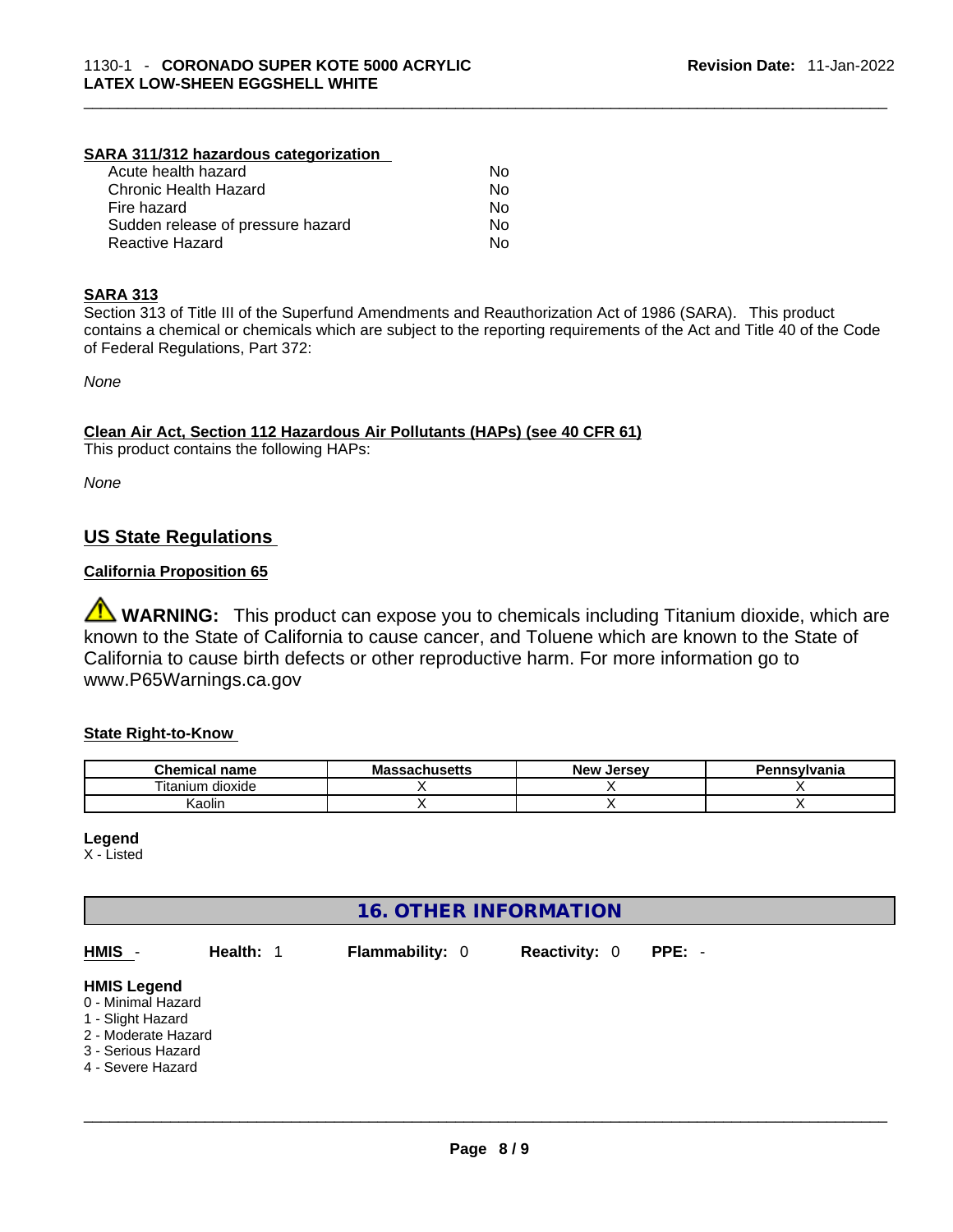#### **SARA 311/312 hazardous categorization**

| Acute health hazard               | No  |  |
|-----------------------------------|-----|--|
| Chronic Health Hazard             | No. |  |
| Fire hazard                       | Nο  |  |
| Sudden release of pressure hazard | No. |  |
| Reactive Hazard                   | Nο  |  |

#### **SARA 313**

Section 313 of Title III of the Superfund Amendments and Reauthorization Act of 1986 (SARA). This product contains a chemical or chemicals which are subject to the reporting requirements of the Act and Title 40 of the Code of Federal Regulations, Part 372:

*None*

#### **Clean Air Act,Section 112 Hazardous Air Pollutants (HAPs) (see 40 CFR 61)**

This product contains the following HAPs:

*None*

#### **US State Regulations**

#### **California Proposition 65**

**WARNING:** This product can expose you to chemicals including Titanium dioxide, which are known to the State of California to cause cancer, and Toluene which are known to the State of California to cause birth defects or other reproductive harm. For more information go to www.P65Warnings.ca.gov

#### **State Right-to-Know**

| <b>Chemical</b><br>name           | <b>Massachusetts</b> | New<br>. Jersev | Pennsylvania |
|-----------------------------------|----------------------|-----------------|--------------|
| $- \cdot$ .<br>itanium<br>dioxide |                      |                 |              |
| <br>Kaolir                        |                      |                 |              |

**Legend**

X - Listed

#### **16. OTHER INFORMATION**

| HMIS -                                                                                                                          | Health: 1 | <b>Flammability: 0</b> | <b>Reactivity: 0</b> | $PPE: -$ |
|---------------------------------------------------------------------------------------------------------------------------------|-----------|------------------------|----------------------|----------|
| <b>HMIS Legend</b><br>0 - Minimal Hazard<br>1 - Slight Hazard<br>2 - Moderate Hazard<br>3 - Serious Hazard<br>4 - Severe Hazard |           |                        |                      |          |